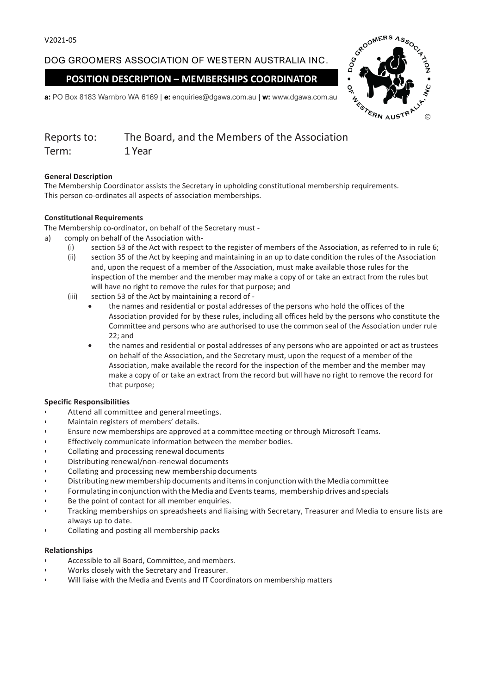DOG GROOMERS ASSOCIATION OF WESTERN AUSTRALIA INC.

**POSITION DESCRIPTION – MEMBERSHIPS COORDINATOR**



**a:** PO Box 8183 Warnbro WA 6169 | **e:** enquiries@dgawa.com.au | **w:** www.dgawa.com.au

| Reports to: | The Board, and the Members of the Association |
|-------------|-----------------------------------------------|
| Term:       | 1 Year                                        |

### **General Description**

The Membership Coordinator assists the Secretary in upholding constitutional membership requirements. This person co-ordinates all aspects of association memberships.

### **Constitutional Requirements**

The Membership co-ordinator, on behalf of the Secretary must -

- a) comply on behalf of the Association with-
	- (i) section 53 of the Act with respect to the register of members of the Association, as referred to in rule 6;
	- (ii) section 35 of the Act by keeping and maintaining in an up to date condition the rules of the Association and, upon the request of a member of the Association, must make available those rules for the inspection of the member and the member may make a copy of or take an extract from the rules but will have no right to remove the rules for that purpose; and
	- (iii) section 53 of the Act by maintaining a record of
		- the names and residential or postal addresses of the persons who hold the offices of the Association provided for by these rules, including all offices held by the persons who constitute the Committee and persons who are authorised to use the common seal of the Association under rule 22; and
		- the names and residential or postal addresses of any persons who are appointed or act as trustees on behalf of the Association, and the Secretary must, upon the request of a member of the Association, make available the record for the inspection of the member and the member may make a copy of or take an extract from the record but will have no right to remove the record for that purpose;

### **Specific Responsibilities**

- Attend all committee and general meetings.
- Maintain registers of members' details.
- Ensure new memberships are approved at a committeemeeting or through Microsoft Teams.
- Effectively communicate information between the member bodies.
- Collating and processing renewal documents
- Distributing renewal/non-renewal documents
- Collating and processing new membership documents
- Distributing new membership documents and items in conjunction with the Media committee
- Formulating in conjunction with the Media and Events teams, membership drives and specials
- Be the point of contact for all member enquiries.
- Tracking memberships on spreadsheets and liaising with Secretary, Treasurer and Media to ensure lists are always up to date.
- Collating and posting all membership packs

### **Relationships**

- Accessible to all Board, Committee, and members.
- Works closely with the Secretary and Treasurer.
- Will liaise with the Media and Events and IT Coordinators on membership matters